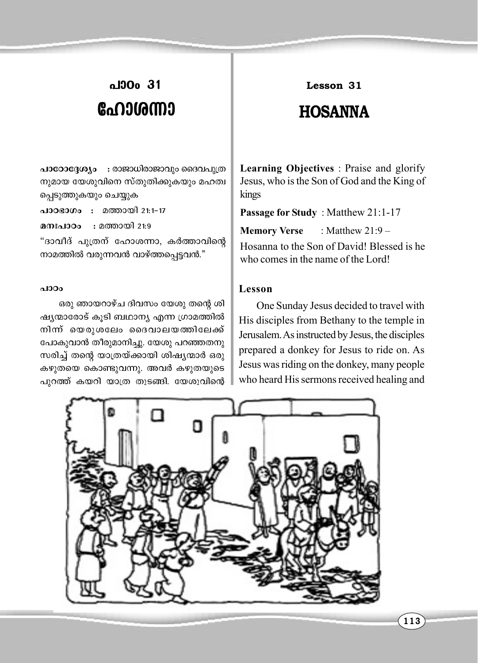# പാഠം 31 ഹോശന്നാ

പാഠോദ്ദേശ്യം : രാജാധിരാജാവും ദൈവപുത്ര നുമായ യേശുവിനെ സ്തുതിക്കുകയും മഹത്വ പ്പെടുത്തുകയും ചെയ്യുക

പാഠഭാഗം : മത്തായി 21:1-17

: മത്തായി 21:9 മനഃപാഠം

"ദാവീദ് പുത്രന് ഹോശന്നാ, കർത്താവിന്റെ നാമത്തിൽ വരുന്നവൻ വാഴ്ത്തപ്പെട്ടവൻ."

#### പാഠം

ഒരു ഞായറാഴ്ച ദിവസം യേശു തന്റെ ശി ഷ്യന്മാരോട് കൂടി ബഥാന്യ എന്ന ഗ്രാമത്തിൽ നിന്ന് യെരുശലേം ദൈവാലയത്തിലേക്ക് പോകുവാൻ തീരുമാനിച്ചു. യേശു പറഞ്ഞതനു സരിച്ച് തന്റെ യാത്രയ്ക്കായി ശിഷ്യന്മാർ ഒരു കഴുതയെ കൊണ്ടുവന്നു. അവർ കഴുതയുടെ പുറത്ത് കയറി യാത്ര തുടങ്ങി. യേശുവിന്റെ

### Lesson 31

## **HOSANNA**

**Learning Objectives**: Praise and glorify Jesus, who is the Son of God and the King of kings

Passage for Study: Matthew 21:1-17

**Memory Verse** : Matthew  $21:9-$ 

Hosanna to the Son of David! Blessed is he who comes in the name of the Lord!

### Lesson

One Sunday Jesus decided to travel with His disciples from Bethany to the temple in Jerusalem. As instructed by Jesus, the disciples prepared a donkey for Jesus to ride on. As Jesus was riding on the donkey, many people who heard His sermons received healing and

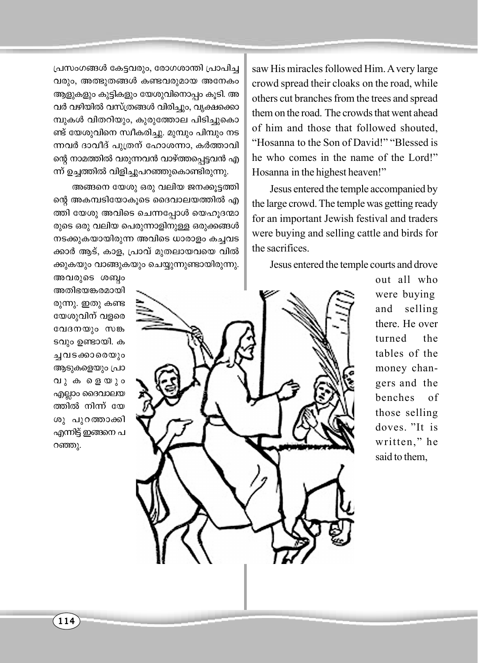പ്രസംഗങ്ങൾ കേട്ടവരും, രോഗശാന്തി പ്രാപിച്ച വരും, അത്ഭുതങ്ങൾ കണ്ടവരുമായ അനേകം ആളുകളും കുട്ടികളും യേശുവിനൊപ്പം കൂടി. അ വർ വഴിയിൽ വസ്ത്രങ്ങൾ വിരിച്ചും, വൃക്ഷക്കൊ മ്പുകൾ വിതറിയും, കുരുത്തോല പിടിച്ചുകൊ ണ്ട് യേശുവിനെ സ്വീകരിച്ചു. മുമ്പും പിമ്പും നട ന്നവർ ദാവീദ് പുത്രന് ഹോശന്നാ, കർത്താവി ന്റെ നാമത്തിൽ വരുന്നവൻ വാഴ്ത്തപ്പെട്ടവൻ എ ന്ന് ഉച്ചത്തിൽ വിളിച്ചുപറഞ്ഞുകൊണ്ടിരുന്നു.

അങ്ങനെ യേശു ഒരു വലിയ ജനക്കൂട്ടത്തി ന്റെ അകമ്പടിയോകൂടെ ദൈവാലയത്തിൽ എ ത്തി യേശു അവിടെ ചെന്നപ്പോൾ യെഹൂദന്മാ രുടെ ഒരു വലിയ പെരുന്നാളിനുള്ള ഒരുക്കങ്ങൾ നടക്കുകയായിരുന്ന അവിടെ ധാരാളം കച്ചവട ക്കാർ ആട്, കാള, പ്രാവ് മുതലായവയെ വിൽ ക്കുകയും വാങ്ങുകയും ചെയ്യുന്നുണ്ടായിരുന്നു.

saw His miracles followed Him. A very large crowd spread their cloaks on the road, while others cut branches from the trees and spread them on the road. The crowds that went ahead of him and those that followed shouted, "Hosanna to the Son of David!" "Blessed is he who comes in the name of the Lord!" Hosanna in the highest heaven!"

Jesus entered the temple accompanied by the large crowd. The temple was getting ready for an important Jewish festival and traders were buying and selling cattle and birds for the sacrifices.

Jesus entered the temple courts and drove

അവരുടെ ശബ്ദം അതിഭയങ്കരമായി രുന്നു. ഇതു കണ്ട യേശുവിന് വളരെ വേദനയും സങ്ക ടവും ഉണ്ടായി. ക ച്ചവടക്കാരെയും ആടുകളെയും പ്രാ വുകളെയും എല്ലാം ദൈവാലയ ത്തിൽ നിന്ന് യേ ശു പുറത്താക്കി എന്നിട്ട് ഇങ്ങനെ പ റഞ്ഞു.



out all who were buying selling and there. He over the turned tables of the money changers and the benches  $\alpha$ f those selling doves. "It is written," he said to them.